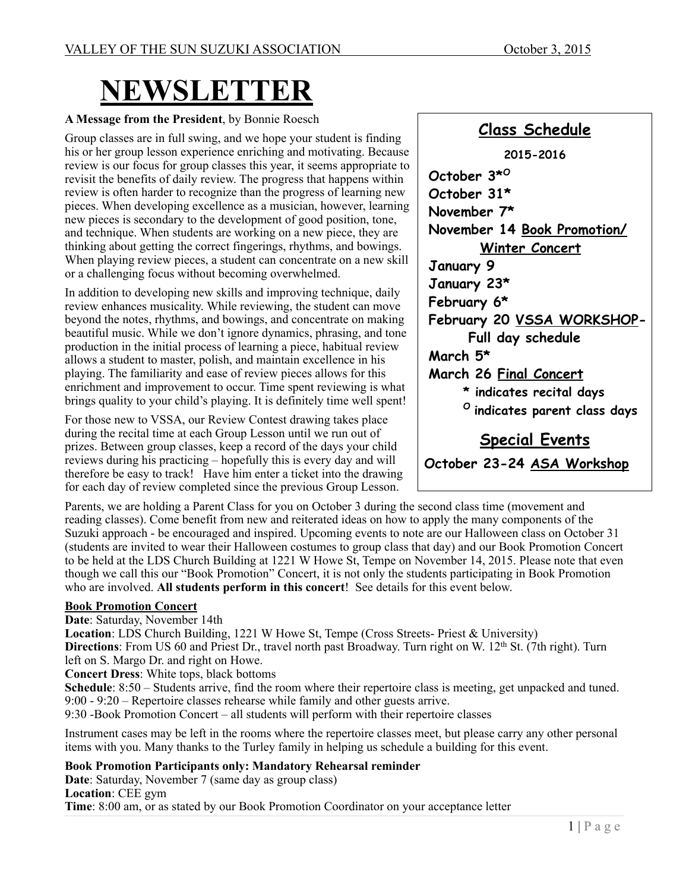# **NEWSLETTER**

#### **A Message from the President**, by Bonnie Roesch

Group classes are in full swing, and we hope your student is finding his or her group lesson experience enriching and motivating. Because review is our focus for group classes this year, it seems appropriate to revisit the benefits of daily review. The progress that happens within review is often harder to recognize than the progress of learning new pieces. When developing excellence as a musician, however, learning new pieces is secondary to the development of good position, tone, and technique. When students are working on a new piece, they are thinking about getting the correct fingerings, rhythms, and bowings. When playing review pieces, a student can concentrate on a new skill or a challenging focus without becoming overwhelmed.

In addition to developing new skills and improving technique, daily review enhances musicality. While reviewing, the student can move beyond the notes, rhythms, and bowings, and concentrate on making beautiful music. While we don't ignore dynamics, phrasing, and tone production in the initial process of learning a piece, habitual review allows a student to master, polish, and maintain excellence in his playing. The familiarity and ease of review pieces allows for this enrichment and improvement to occur. Time spent reviewing is what brings quality to your child's playing. It is definitely time well spent!

For those new to VSSA, our Review Contest drawing takes place during the recital time at each Group Lesson until we run out of prizes. Between group classes, keep a record of the days your child reviews during his practicing – hopefully this is every day and will therefore be easy to track! Have him enter a ticket into the drawing for each day of review completed since the previous Group Lesson.

**Class Schedule 2015-2016 October 3\*O October 31\* November 7\* November 14 Book Promotion/ Winter Concert January 9 January 23\* February 6\* February 20 VSSA WORKSHOP- Full day schedule March 5\* March 26 Final Concert \* indicates recital days O indicates parent class days Special Events October 23-24 ASA Workshop**

Parents, we are holding a Parent Class for you on October 3 during the second class time (movement and reading classes). Come benefit from new and reiterated ideas on how to apply the many components of the Suzuki approach - be encouraged and inspired. Upcoming events to note are our Halloween class on October 31 (students are invited to wear their Halloween costumes to group class that day) and our Book Promotion Concert to be held at the LDS Church Building at 1221 W Howe St, Tempe on November 14, 2015. Please note that even though we call this our "Book Promotion" Concert, it is not only the students participating in Book Promotion who are involved. **All students perform in this concert**! See details for this event below.

#### **Book Promotion Concert**

**Date**: Saturday, November 14th

**Location**: LDS Church Building, 1221 W Howe St, Tempe (Cross Streets- Priest & University) **Directions**: From US 60 and Priest Dr., travel north past Broadway. Turn right on W. 12<sup>th</sup> St. (7th right). Turn left on S. Margo Dr. and right on Howe.

**Concert Dress**: White tops, black bottoms

**Schedule**: 8:50 – Students arrive, find the room where their repertoire class is meeting, get unpacked and tuned. 9:00 - 9:20 – Repertoire classes rehearse while family and other guests arrive.

9:30 -Book Promotion Concert – all students will perform with their repertoire classes

Instrument cases may be left in the rooms where the repertoire classes meet, but please carry any other personal items with you. Many thanks to the Turley family in helping us schedule a building for this event.

**Book Promotion Participants only: Mandatory Rehearsal reminder** 

**Date**: Saturday, November 7 (same day as group class) **Location**: CEE gym **Time**: 8:00 am, or as stated by our Book Promotion Coordinator on your acceptance letter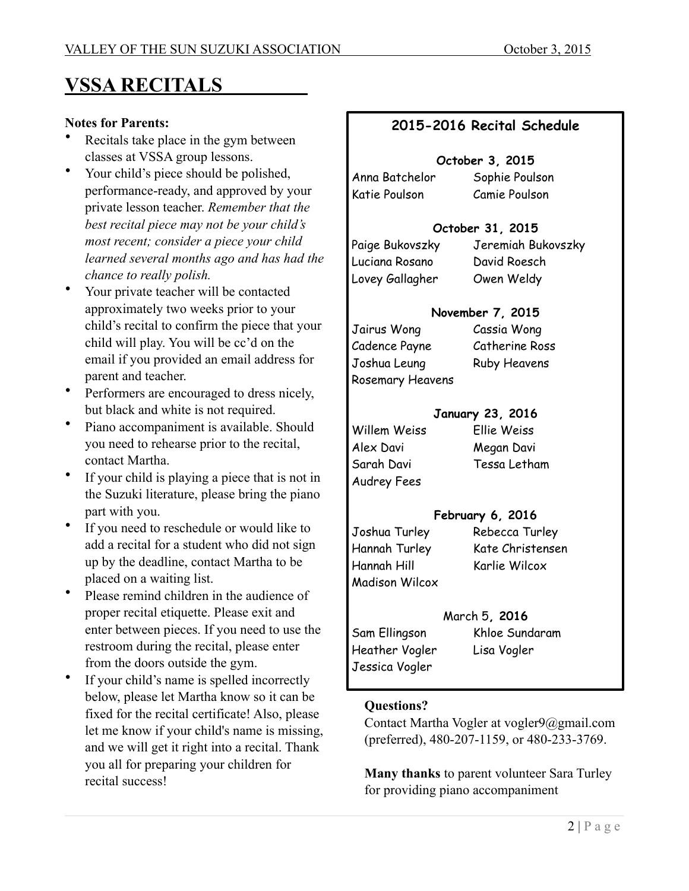# **VSSA RECITALS**

#### **Notes for Parents:**

- Recitals take place in the gym between classes at VSSA group lessons.
- Your child's piece should be polished, performance-ready, and approved by your private lesson teacher. *Remember that the best recital piece may not be your child's most recent; consider a piece your child learned several months ago and has had the chance to really polish.*
- Your private teacher will be contacted approximately two weeks prior to your child's recital to confirm the piece that your child will play. You will be cc'd on the email if you provided an email address for parent and teacher.
- Performers are encouraged to dress nicely, but black and white is not required.
- Piano accompaniment is available. Should you need to rehearse prior to the recital, contact Martha.
- If your child is playing a piece that is not in the Suzuki literature, please bring the piano part with you.
- If you need to reschedule or would like to add a recital for a student who did not sign up by the deadline, contact Martha to be placed on a waiting list.
- Please remind children in the audience of proper recital etiquette. Please exit and enter between pieces. If you need to use the restroom during the recital, please enter from the doors outside the gym.
- If your child's name is spelled incorrectly below, please let Martha know so it can be fixed for the recital certificate! Also, please let me know if your child's name is missing, and we will get it right into a recital. Thank you all for preparing your children for recital success!

#### **2015-2016 Recital Schedule**

#### **October 3, 2015**

Anna Batchelor Sophie Poulson Katie Poulson Camie Poulson

#### **October 31, 2015**

Luciana Rosano David Roesch Lovey Gallagher Owen Weldy

Paige Bukovszky Jeremiah Bukovszky

#### **November 7, 2015**

| Jairus Wong      | Cassia Wong         |
|------------------|---------------------|
| Cadence Payne    | Catherine Ross      |
| Joshua Leung     | <b>Ruby Heavens</b> |
| Rosemary Heavens |                     |

#### **January 23, 2016**

Willem Weiss Ellie Weiss Alex Davi Megan Davi Audrey Fees

Sarah Davi Tessa Letham

#### **February 6, 2016**

Hannah Hill Karlie Wilcox Madison Wilcox

Joshua Turley Rebecca Turley Hannah Turley Kate Christensen

#### March 5**, 2016**

Heather Vogler Lisa Vogler Jessica Vogler

Sam Ellingson Khloe Sundaram

#### **Questions?**

Contact Martha Vogler at vogler9@gmail.com (preferred), 480-207-1159, or 480-233-3769.

**Many thanks** to parent volunteer Sara Turley for providing piano accompaniment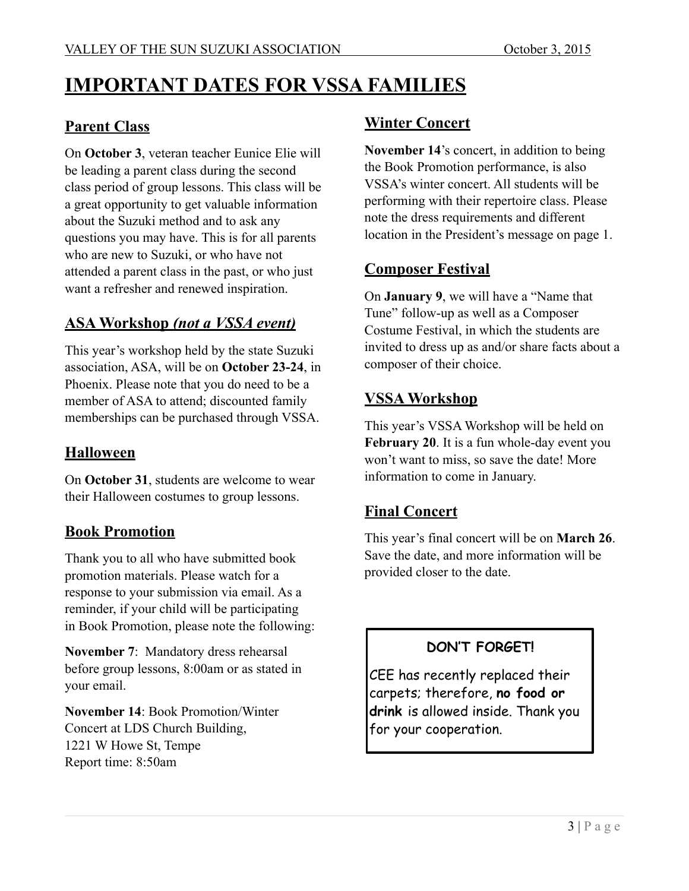# **IMPORTANT DATES FOR VSSA FAMILIES**

#### **Parent Class**

On **October 3**, veteran teacher Eunice Elie will be leading a parent class during the second class period of group lessons. This class will be a great opportunity to get valuable information about the Suzuki method and to ask any questions you may have. This is for all parents who are new to Suzuki, or who have not attended a parent class in the past, or who just want a refresher and renewed inspiration.

#### **ASA Workshop** *(not a VSSA event)*

This year's workshop held by the state Suzuki association, ASA, will be on **October 23-24**, in Phoenix. Please note that you do need to be a member of ASA to attend; discounted family memberships can be purchased through VSSA.

#### **Halloween**

On **October 31**, students are welcome to wear their Halloween costumes to group lessons.

#### **Book Promotion**

Thank you to all who have submitted book promotion materials. Please watch for a response to your submission via email. As a reminder, if your child will be participating in Book Promotion, please note the following:

**November 7**: Mandatory dress rehearsal before group lessons, 8:00am or as stated in your email.

**November 14**: Book Promotion/Winter Concert at LDS Church Building, 1221 W Howe St, Tempe Report time: 8:50am

#### **Winter Concert**

**November 14**'s concert, in addition to being the Book Promotion performance, is also VSSA's winter concert. All students will be performing with their repertoire class. Please note the dress requirements and different location in the President's message on page 1.

#### **Composer Festival**

On **January 9**, we will have a "Name that Tune" follow-up as well as a Composer Costume Festival, in which the students are invited to dress up as and/or share facts about a composer of their choice.

#### **VSSA Workshop**

This year's VSSA Workshop will be held on **February 20**. It is a fun whole-day event you won't want to miss, so save the date! More information to come in January.

#### **Final Concert**

This year's final concert will be on **March 26**. Save the date, and more information will be provided closer to the date.

#### **DON'T FORGET!**

CEE has recently replaced their carpets; therefore, **no food or drink** is allowed inside. Thank you for your cooperation.